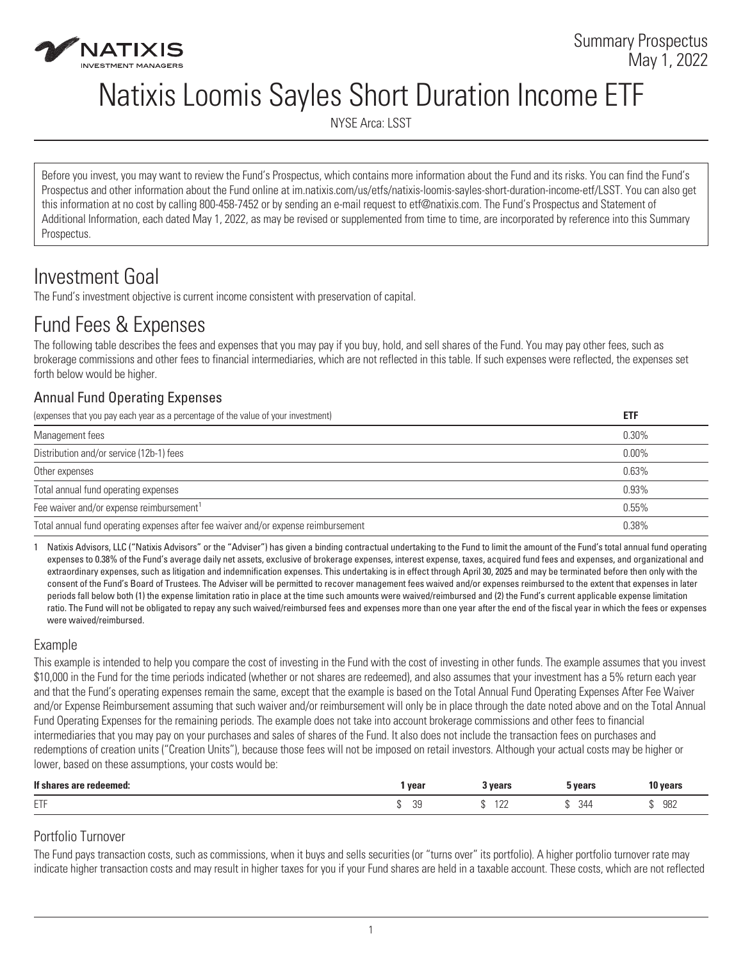

Summary Prospectus May 1, 2022

# Natixis Loomis Sayles Short Duration Income ETF

NYSE Arca: LSST

Before you invest, you may want to review the Fund's Prospectus, which contains more information about the Fund and its risks. You can find the Fund's Prospectus and other information about the Fund online at im.natixis.com/us/etfs/natixis-loomis-sayles-short-duration-income-etf/LSST. You can also get this information at no cost by calling 800-458-7452 or by sending an e-mail request to etf@natixis.com. The Fund's Prospectus and Statement of Additional Information, each dated May 1, 2022, as may be revised or supplemented from time to time, are incorporated by reference into this Summary Prospectus.

### Investment Goal

The Fund's investment objective is current income consistent with preservation of capital.

### Fund Fees & Expenses

The following table describes the fees and expenses that you may pay if you buy, hold, and sell shares of the Fund. You may pay other fees, such as brokerage commissions and other fees to financial intermediaries, which are not reflected in this table. If such expenses were reflected, the expenses set forth below would be higher.

#### Annual Fund Operating Expenses

| (expenses that you pay each year as a percentage of the value of your investment)  | <b>ETF</b> |
|------------------------------------------------------------------------------------|------------|
| Management fees                                                                    | $0.30\%$   |
| Distribution and/or service (12b-1) fees                                           | $0.00\%$   |
| Other expenses                                                                     | 0.63%      |
| Total annual fund operating expenses                                               | 0.93%      |
| Fee waiver and/or expense reimbursement <sup>1</sup>                               | 0.55%      |
| Total annual fund operating expenses after fee waiver and/or expense reimbursement | 0.38%      |

1 Natixis Advisors, LLC ("Natixis Advisors" or the "Adviser") has given a binding contractual undertaking to the Fund to limit the amount of the Fund's total annual fund operating expenses to 0.38% of the Fund's average daily net assets, exclusive of brokerage expenses, interest expense, taxes, acquired fund fees and expenses, and organizational and extraordinary expenses, such as litigation and indemnification expenses. This undertaking is in effect through April 30, 2025 and may be terminated before then only with the consent of the Fund's Board of Trustees. The Adviser will be permitted to recover management fees waived and/or expenses reimbursed to the extent that expenses in later periods fall below both (1) the expense limitation ratio in place at the time such amounts were waived/reimbursed and (2) the Fund's current applicable expense limitation ratio. The Fund will not be obligated to repay any such waived/reimbursed fees and expenses more than one year after the end of the fiscal year in which the fees or expenses were waived/reimbursed.

#### Example

This example is intended to help you compare the cost of investing in the Fund with the cost of investing in other funds. The example assumes that you invest \$10,000 in the Fund for the time periods indicated (whether or not shares are redeemed), and also assumes that your investment has a 5% return each year and that the Fund's operating expenses remain the same, except that the example is based on the Total Annual Fund Operating Expenses After Fee Waiver and/or Expense Reimbursement assuming that such waiver and/or reimbursement will only be in place through the date noted above and on the Total Annual Fund Operating Expenses for the remaining periods. The example does not take into account brokerage commissions and other fees to financial intermediaries that you may pay on your purchases and sales of shares of the Fund. It also does not include the transaction fees on purchases and redemptions of creation units ("Creation Units"), because those fees will not be imposed on retail investors. Although your actual costs may be higher or lower, based on these assumptions, your costs would be:

| $\mathbf{F}$<br>--- | , year<br>y Gai | 1002K<br>сањ       | years       | $10$ yoor |
|---------------------|-----------------|--------------------|-------------|-----------|
| ETF                 | nr<br>ບບ        | $\sim$<br>$\cdots$ | , ,<br>-344 | 982       |

#### Portfolio Turnover

The Fund pays transaction costs, such as commissions, when it buys and sells securities (or "turns over" its portfolio). A higher portfolio turnover rate may indicate higher transaction costs and may result in higher taxes for you if your Fund shares are held in a taxable account. These costs, which are not reflected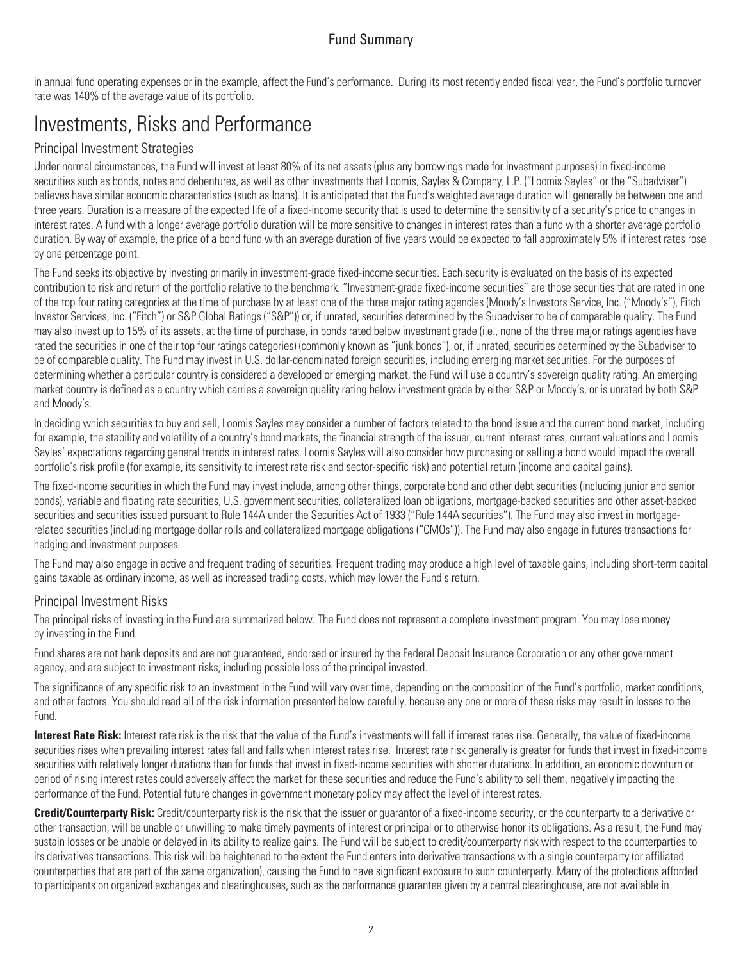in annual fund operating expenses or in the example, affect the Fund's performance. During its most recently ended fiscal year, the Fund's portfolio turnover rate was 140% of the average value of its portfolio.

# Investments, Risks and Performance

#### Principal Investment Strategies

Under normal circumstances, the Fund will invest at least 80% of its net assets (plus any borrowings made for investment purposes) in fixed-income securities such as bonds, notes and debentures, as well as other investments that Loomis, Sayles & Company, L.P. ("Loomis Sayles" or the "Subadviser") believes have similar economic characteristics (such as loans). It is anticipated that the Fund's weighted average duration will generally be between one and three years. Duration is a measure of the expected life of a fixed-income security that is used to determine the sensitivity of a security's price to changes in interest rates. A fund with a longer average portfolio duration will be more sensitive to changes in interest rates than a fund with a shorter average portfolio duration. By way of example, the price of a bond fund with an average duration of five years would be expected to fall approximately 5% if interest rates rose by one percentage point.

The Fund seeks its objective by investing primarily in investment-grade fixed-income securities. Each security is evaluated on the basis of its expected contribution to risk and return of the portfolio relative to the benchmark. "Investment-grade fixed-income securities" are those securities that are rated in one of the top four rating categories at the time of purchase by at least one of the three major rating agencies (Moody's Investors Service, Inc. ("Moody's"), Fitch Investor Services, Inc. ("Fitch") or S&P Global Ratings ("S&P")) or, if unrated, securities determined by the Subadviser to be of comparable quality. The Fund may also invest up to 15% of its assets, at the time of purchase, in bonds rated below investment grade (i.e., none of the three major ratings agencies have rated the securities in one of their top four ratings categories) (commonly known as "junk bonds"), or, if unrated, securities determined by the Subadviser to be of comparable quality. The Fund may invest in U.S. dollar-denominated foreign securities, including emerging market securities. For the purposes of determining whether a particular country is considered a developed or emerging market, the Fund will use a country's sovereign quality rating. An emerging market country is defined as a country which carries a sovereign quality rating below investment grade by either S&P or Moody's, or is unrated by both S&P and Moody's.

In deciding which securities to buy and sell, Loomis Sayles may consider a number of factors related to the bond issue and the current bond market, including for example, the stability and volatility of a country's bond markets, the financial strength of the issuer, current interest rates, current valuations and Loomis Sayles' expectations regarding general trends in interest rates. Loomis Sayles will also consider how purchasing or selling a bond would impact the overall portfolio's risk profile (for example, its sensitivity to interest rate risk and sector-specific risk) and potential return (income and capital gains).

The fixed-income securities in which the Fund may invest include, among other things, corporate bond and other debt securities (including junior and senior bonds), variable and floating rate securities, U.S. government securities, collateralized loan obligations, mortgage-backed securities and other asset-backed securities and securities issued pursuant to Rule 144A under the Securities Act of 1933 ("Rule 144A securities"). The Fund may also invest in mortgagerelated securities (including mortgage dollar rolls and collateralized mortgage obligations ("CMOs")). The Fund may also engage in futures transactions for hedging and investment purposes.

The Fund may also engage in active and frequent trading of securities. Frequent trading may produce a high level of taxable gains, including short-term capital gains taxable as ordinary income, as well as increased trading costs, which may lower the Fund's return.

#### Principal Investment Risks

The principal risks of investing in the Fund are summarized below. The Fund does not represent a complete investment program. You may lose money by investing in the Fund.

Fund shares are not bank deposits and are not guaranteed, endorsed or insured by the Federal Deposit Insurance Corporation or any other government agency, and are subject to investment risks, including possible loss of the principal invested.

The significance of any specific risk to an investment in the Fund will vary over time, depending on the composition of the Fund's portfolio, market conditions, and other factors. You should read all of the risk information presented below carefully, because any one or more of these risks may result in losses to the Fund.

Interest Rate Risk: Interest rate risk is the risk that the value of the Fund's investments will fall if interest rates rise. Generally, the value of fixed-income securities rises when prevailing interest rates fall and falls when interest rates rise. Interest rate risk generally is greater for funds that invest in fixed-income securities with relatively longer durations than for funds that invest in fixed-income securities with shorter durations. In addition, an economic downturn or period of rising interest rates could adversely affect the market for these securities and reduce the Fund's ability to sell them, negatively impacting the performance of the Fund. Potential future changes in government monetary policy may affect the level of interest rates.

**Credit/Counterparty Risk:** Credit/counterparty risk is the risk that the issuer or guarantor of a fixed-income security, or the counterparty to a derivative or other transaction, will be unable or unwilling to make timely payments of interest or principal or to otherwise honor its obligations. As a result, the Fund may sustain losses or be unable or delayed in its ability to realize gains. The Fund will be subject to credit/counterparty risk with respect to the counterparties to its derivatives transactions. This risk will be heightened to the extent the Fund enters into derivative transactions with a single counterparty (or affiliated counterparties that are part of the same organization), causing the Fund to have significant exposure to such counterparty. Many of the protections afforded to participants on organized exchanges and clearinghouses, such as the performance guarantee given by a central clearinghouse, are not available in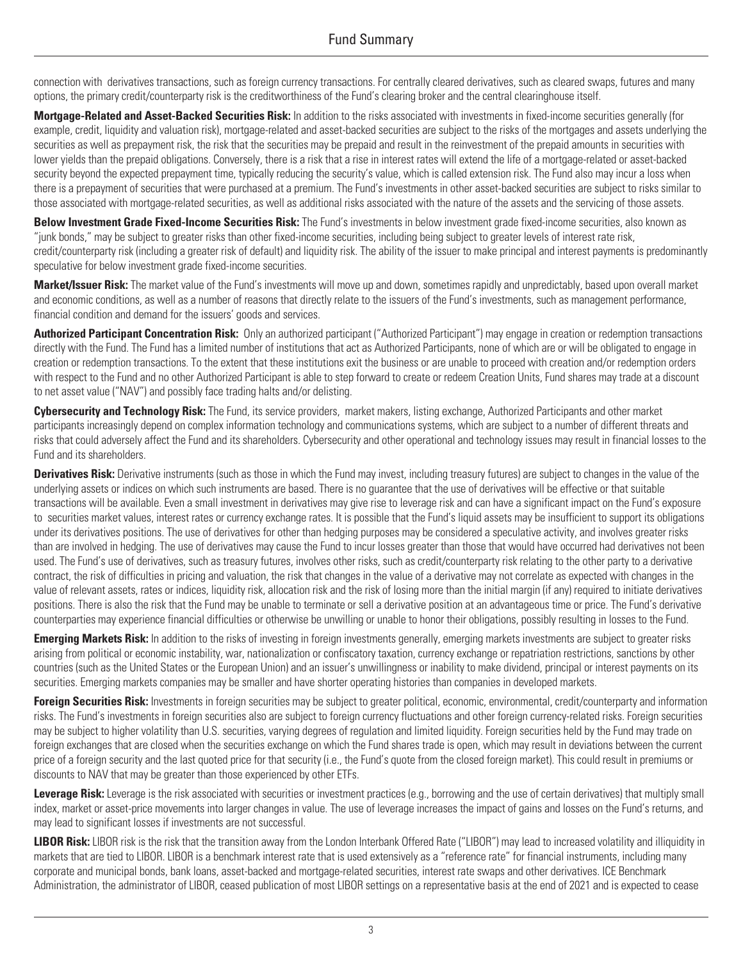connection with derivatives transactions, such as foreign currency transactions. For centrally cleared derivatives, such as cleared swaps, futures and many options, the primary credit/counterparty risk is the creditworthiness of the Fund's clearing broker and the central clearinghouse itself.

**Mortgage-Related and Asset-Backed Securities Risk:** In addition to the risks associated with investments in fixed-income securities generally (for example, credit, liquidity and valuation risk), mortgage-related and asset-backed securities are subject to the risks of the mortgages and assets underlying the securities as well as prepayment risk, the risk that the securities may be prepaid and result in the reinvestment of the prepaid amounts in securities with lower yields than the prepaid obligations. Conversely, there is a risk that a rise in interest rates will extend the life of a mortgage-related or asset-backed security beyond the expected prepayment time, typically reducing the security's value, which is called extension risk. The Fund also may incur a loss when there is a prepayment of securities that were purchased at a premium. The Fund's investments in other asset-backed securities are subject to risks similar to those associated with mortgage-related securities, as well as additional risks associated with the nature of the assets and the servicing of those assets.

Below Investment Grade Fixed-Income Securities Risk: The Fund's investments in below investment grade fixed-income securities, also known as "junk bonds," may be subject to greater risks than other fixed-income securities, including being subject to greater levels of interest rate risk, credit/counterparty risk (including a greater risk of default) and liquidity risk. The ability of the issuer to make principal and interest payments is predominantly speculative for below investment grade fixed-income securities.

**Market/Issuer Risk:** The market value of the Fund's investments will move up and down, sometimes rapidly and unpredictably, based upon overall market and economic conditions, as well as a number of reasons that directly relate to the issuers of the Fund's investments, such as management performance, financial condition and demand for the issuers' goods and services.

**Authorized Participant Concentration Risk:** Only an authorized participant ("Authorized Participant") may engage in creation or redemption transactions directly with the Fund. The Fund has a limited number of institutions that act as Authorized Participants, none of which are or will be obligated to engage in creation or redemption transactions. To the extent that these institutions exit the business or are unable to proceed with creation and/or redemption orders with respect to the Fund and no other Authorized Participant is able to step forward to create or redeem Creation Units, Fund shares may trade at a discount to net asset value ("NAV") and possibly face trading halts and/or delisting.

**Cybersecurity and Technology Risk:** The Fund, its service providers, market makers, listing exchange, Authorized Participants and other market participants increasingly depend on complex information technology and communications systems, which are subject to a number of different threats and risks that could adversely affect the Fund and its shareholders. Cybersecurity and other operational and technology issues may result in financial losses to the Fund and its shareholders.

**Derivatives Risk:** Derivative instruments (such as those in which the Fund may invest, including treasury futures) are subject to changes in the value of the underlying assets or indices on which such instruments are based. There is no guarantee that the use of derivatives will be effective or that suitable transactions will be available. Even a small investment in derivatives may give rise to leverage risk and can have a significant impact on the Fund's exposure to securities market values, interest rates or currency exchange rates. It is possible that the Fund's liquid assets may be insufficient to support its obligations under its derivatives positions. The use of derivatives for other than hedging purposes may be considered a speculative activity, and involves greater risks than are involved in hedging. The use of derivatives may cause the Fund to incur losses greater than those that would have occurred had derivatives not been used. The Fund's use of derivatives, such as treasury futures, involves other risks, such as credit/counterparty risk relating to the other party to a derivative contract, the risk of difficulties in pricing and valuation, the risk that changes in the value of a derivative may not correlate as expected with changes in the value of relevant assets, rates or indices, liquidity risk, allocation risk and the risk of losing more than the initial margin (if any) required to initiate derivatives positions. There is also the risk that the Fund may be unable to terminate or sell a derivative position at an advantageous time or price. The Fund's derivative counterparties may experience financial difficulties or otherwise be unwilling or unable to honor their obligations, possibly resulting in losses to the Fund.

**Emerging Markets Risk:** In addition to the risks of investing in foreign investments generally, emerging markets investments are subject to greater risks arising from political or economic instability, war, nationalization or confiscatory taxation, currency exchange or repatriation restrictions, sanctions by other countries (such as the United States or the European Union) and an issuer's unwillingness or inability to make dividend, principal or interest payments on its securities. Emerging markets companies may be smaller and have shorter operating histories than companies in developed markets.

**Foreign Securities Risk:** Investments in foreign securities may be subject to greater political, economic, environmental, credit/counterparty and information risks. The Fund's investments in foreign securities also are subject to foreign currency fluctuations and other foreign currency-related risks. Foreign securities may be subject to higher volatility than U.S. securities, varying degrees of regulation and limited liquidity. Foreign securities held by the Fund may trade on foreign exchanges that are closed when the securities exchange on which the Fund shares trade is open, which may result in deviations between the current price of a foreign security and the last quoted price for that security (i.e., the Fund's quote from the closed foreign market). This could result in premiums or discounts to NAV that may be greater than those experienced by other ETFs.

Leverage Risk: Leverage is the risk associated with securities or investment practices (e.g., borrowing and the use of certain derivatives) that multiply small index, market or asset-price movements into larger changes in value. The use of leverage increases the impact of gains and losses on the Fund's returns, and may lead to significant losses if investments are not successful.

**LIBOR Risk:** LIBOR risk is the risk that the transition away from the London Interbank Offered Rate ("LIBOR") may lead to increased volatility and illiquidity in markets that are tied to LIBOR. LIBOR is a benchmark interest rate that is used extensively as a "reference rate" for financial instruments, including many corporate and municipal bonds, bank loans, asset-backed and mortgage-related securities, interest rate swaps and other derivatives. ICE Benchmark Administration, the administrator of LIBOR, ceased publication of most LIBOR settings on a representative basis at the end of 2021 and is expected to cease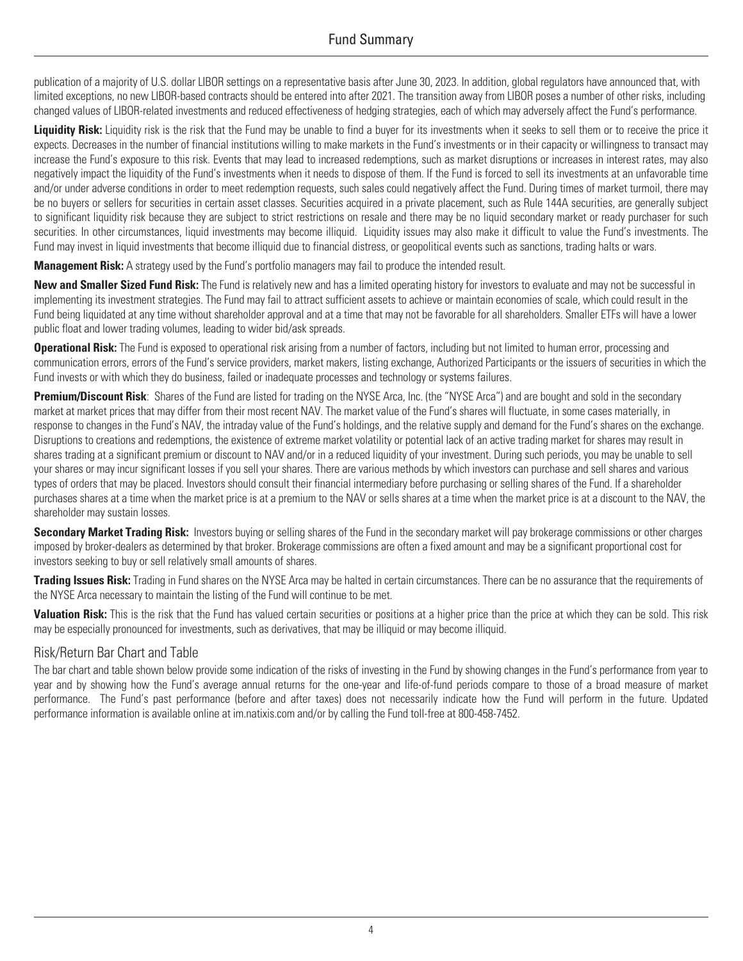publication of a majority of U.S. dollar LIBOR settings on a representative basis after June 30, 2023. In addition, global regulators have announced that, with limited exceptions, no new LIBOR-based contracts should be entered into after 2021. The transition away from LIBOR poses a number of other risks, including changed values of LIBOR-related investments and reduced effectiveness of hedging strategies, each of which may adversely affect the Fund's performance.

Liquidity Risk: Liquidity risk is the risk that the Fund may be unable to find a buyer for its investments when it seeks to sell them or to receive the price it expects. Decreases in the number of financial institutions willing to make markets in the Fund's investments or in their capacity or willingness to transact may increase the Fund's exposure to this risk. Events that may lead to increased redemptions, such as market disruptions or increases in interest rates, may also negatively impact the liquidity of the Fund's investments when it needs to dispose of them. If the Fund is forced to sell its investments at an unfavorable time and/or under adverse conditions in order to meet redemption requests, such sales could negatively affect the Fund. During times of market turmoil, there may be no buyers or sellers for securities in certain asset classes. Securities acquired in a private placement, such as Rule 144A securities, are generally subject to significant liquidity risk because they are subject to strict restrictions on resale and there may be no liquid secondary market or ready purchaser for such securities. In other circumstances, liquid investments may become illiquid. Liquidity issues may also make it difficult to value the Fund's investments. The Fund may invest in liquid investments that become illiquid due to financial distress, or geopolitical events such as sanctions, trading halts or wars.

**Management Risk:** A strategy used by the Fund's portfolio managers may fail to produce the intended result.

**New and Smaller Sized Fund Risk:** The Fund is relatively new and has a limited operating history for investors to evaluate and may not be successful in implementing its investment strategies. The Fund may fail to attract sufficient assets to achieve or maintain economies of scale, which could result in the Fund being liquidated at any time without shareholder approval and at a time that may not be favorable for all shareholders. Smaller ETFs will have a lower public float and lower trading volumes, leading to wider bid/ask spreads.

**Operational Risk:** The Fund is exposed to operational risk arising from a number of factors, including but not limited to human error, processing and communication errors, errors of the Fund's service providers, market makers, listing exchange, Authorized Participants or the issuers of securities in which the Fund invests or with which they do business, failed or inadequate processes and technology or systems failures.

**Premium/Discount Risk**: Shares of the Fund are listed for trading on the NYSE Arca, Inc. (the "NYSE Arca") and are bought and sold in the secondary market at market prices that may differ from their most recent NAV. The market value of the Fund's shares will fluctuate, in some cases materially, in response to changes in the Fund's NAV, the intraday value of the Fund's holdings, and the relative supply and demand for the Fund's shares on the exchange. Disruptions to creations and redemptions, the existence of extreme market volatility or potential lack of an active trading market for shares may result in shares trading at a significant premium or discount to NAV and/or in a reduced liquidity of your investment. During such periods, you may be unable to sell your shares or may incur significant losses if you sell your shares. There are various methods by which investors can purchase and sell shares and various types of orders that may be placed. Investors should consult their financial intermediary before purchasing or selling shares of the Fund. If a shareholder purchases shares at a time when the market price is at a premium to the NAV or sells shares at a time when the market price is at a discount to the NAV, the shareholder may sustain losses.

**Secondary Market Trading Risk:** Investors buying or selling shares of the Fund in the secondary market will pay brokerage commissions or other charges imposed by broker-dealers as determined by that broker. Brokerage commissions are often a fixed amount and may be a significant proportional cost for investors seeking to buy or sell relatively small amounts of shares.

**Trading Issues Risk:** Trading in Fund shares on the NYSE Arca may be halted in certain circumstances. There can be no assurance that the requirements of the NYSE Arca necessary to maintain the listing of the Fund will continue to be met.

**Valuation Risk:** This is the risk that the Fund has valued certain securities or positions at a higher price than the price at which they can be sold. This risk may be especially pronounced for investments, such as derivatives, that may be illiquid or may become illiquid.

#### Risk/Return Bar Chart and Table

The bar chart and table shown below provide some indication of the risks of investing in the Fund by showing changes in the Fund's performance from year to year and by showing how the Fund's average annual returns for the one-year and life-of-fund periods compare to those of a broad measure of market performance. The Fund's past performance (before and after taxes) does not necessarily indicate how the Fund will perform in the future. Updated performance information is available online at im.natixis.com and/or by calling the Fund toll-free at 800-458-7452.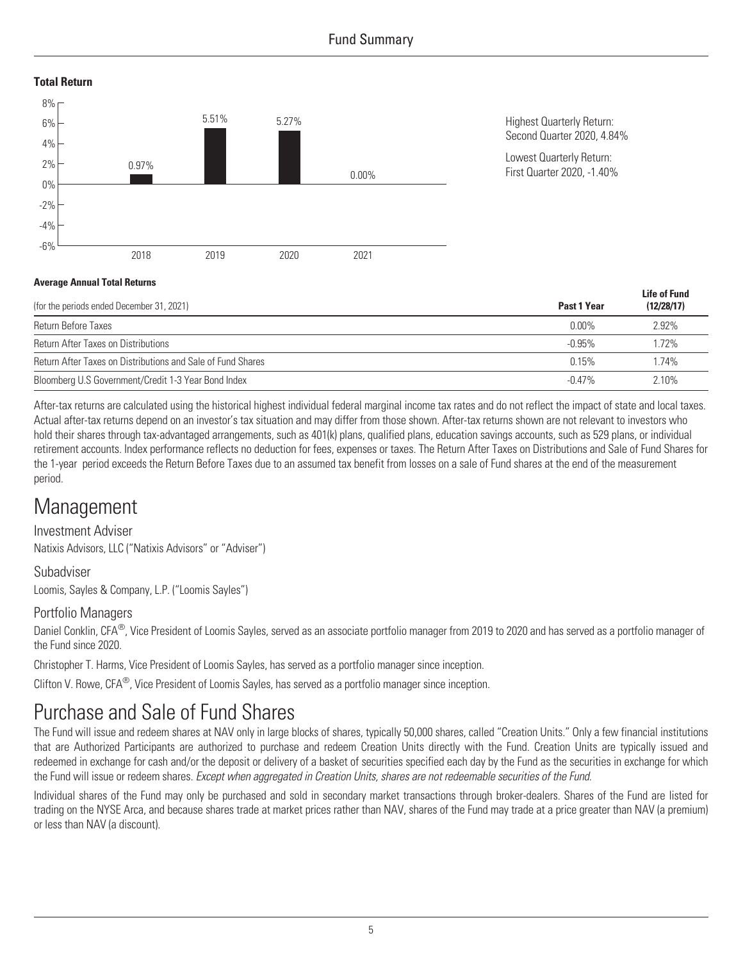#### **Total Return**



#### **Average Annual Total Returns**

| (for the periods ended December 31, 2021)                   | Past 1 Year | <b>Life of Fund</b><br>(12/28/17) |  |
|-------------------------------------------------------------|-------------|-----------------------------------|--|
| Return Before Taxes                                         | $0.00\%$    | 2.92%                             |  |
| <b>Return After Taxes on Distributions</b>                  | $-0.95\%$   | 1.72%                             |  |
| Return After Taxes on Distributions and Sale of Fund Shares | 0.15%       | l.74%                             |  |
| Bloomberg U.S Government/Credit 1-3 Year Bond Index         | $-0.47\%$   | 2.10%                             |  |

After-tax returns are calculated using the historical highest individual federal marginal income tax rates and do not reflect the impact of state and local taxes. Actual after-tax returns depend on an investor's tax situation and may differ from those shown. After-tax returns shown are not relevant to investors who hold their shares through tax-advantaged arrangements, such as 401(k) plans, qualified plans, education savings accounts, such as 529 plans, or individual retirement accounts. Index performance reflects no deduction for fees, expenses or taxes. The Return After Taxes on Distributions and Sale of Fund Shares for the 1-year period exceeds the Return Before Taxes due to an assumed tax benefit from losses on a sale of Fund shares at the end of the measurement period.

### Management

#### Investment Adviser

Natixis Advisors, LLC ("Natixis Advisors" or "Adviser")

#### Subadviser

Loomis, Sayles & Company, L.P. ("Loomis Sayles")

#### Portfolio Managers

Daniel Conklin, CFA®, Vice President of Loomis Sayles, served as an associate portfolio manager from 2019 to 2020 and has served as a portfolio manager of the Fund since 2020.

Christopher T. Harms, Vice President of Loomis Sayles, has served as a portfolio manager since inception.

Clifton V. Rowe, CFA®, Vice President of Loomis Sayles, has served as a portfolio manager since inception.

# Purchase and Sale of Fund Shares

The Fund will issue and redeem shares at NAV only in large blocks of shares, typically 50,000 shares, called "Creation Units." Only a few financial institutions that are Authorized Participants are authorized to purchase and redeem Creation Units directly with the Fund. Creation Units are typically issued and redeemed in exchange for cash and/or the deposit or delivery of a basket of securities specified each day by the Fund as the securities in exchange for which the Fund will issue or redeem shares. *Except when aggregated in Creation Units, shares are not redeemable securities of the Fund*.

Individual shares of the Fund may only be purchased and sold in secondary market transactions through broker-dealers. Shares of the Fund are listed for trading on the NYSE Arca, and because shares trade at market prices rather than NAV, shares of the Fund may trade at a price greater than NAV (a premium) or less than NAV (a discount).